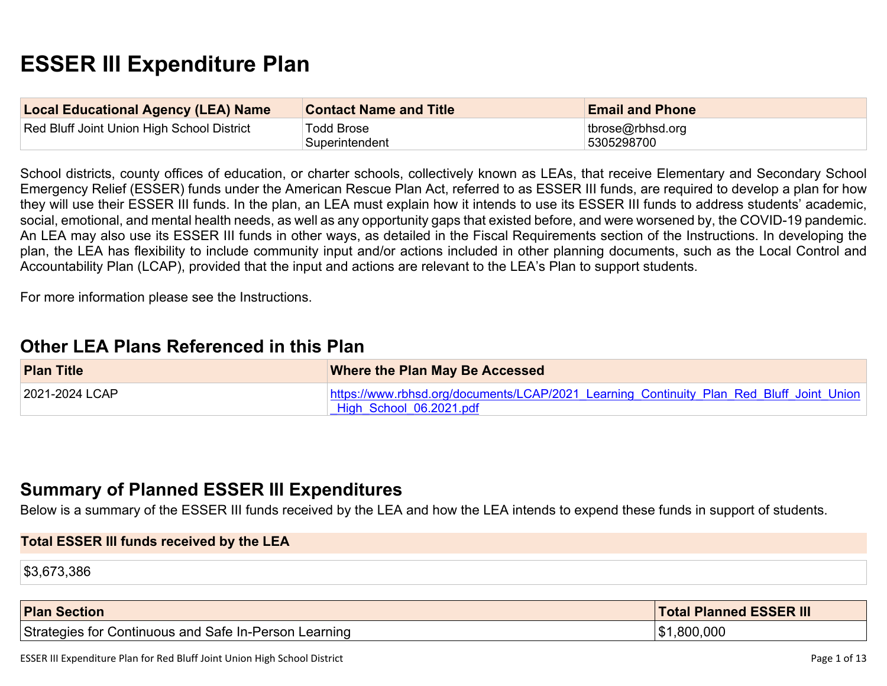# **ESSER III Expenditure Plan**

| <b>Local Educational Agency (LEA) Name</b> | <b>Contact Name and Title</b> | <b>Email and Phone</b>               |
|--------------------------------------------|-------------------------------|--------------------------------------|
| Red Bluff Joint Union High School District | Todd Brose<br>Superintendent  | $ t $ tbrose@rbhsd.org<br>5305298700 |

School districts, county offices of education, or charter schools, collectively known as LEAs, that receive Elementary and Secondary School Emergency Relief (ESSER) funds under the American Rescue Plan Act, referred to as ESSER III funds, are required to develop a plan for how they will use their ESSER III funds. In the plan, an LEA must explain how it intends to use its ESSER III funds to address students' academic, social, emotional, and mental health needs, as well as any opportunity gaps that existed before, and were worsened by, the COVID-19 pandemic. An LEA may also use its ESSER III funds in other ways, as detailed in the Fiscal Requirements section of the Instructions. In developing the plan, the LEA has flexibility to include community input and/or actions included in other planning documents, such as the Local Control and Accountability Plan (LCAP), provided that the input and actions are relevant to the LEA's Plan to support students.

For more information please see the Instructions.

## **Other LEA Plans [Referenced](#page-7-0) in this Plan**

| <b>Plan Title</b> | <b>Where the Plan May Be Accessed</b>                                                    |
|-------------------|------------------------------------------------------------------------------------------|
| 2021-2024 LCAP    | https://www.rbhsd.org/documents/LCAP/2021 Learning Continuity Plan Red Bluff Joint Union |
|                   | High School 06.2021.pdf                                                                  |

## **Summary of Planned ESSER III [Expenditures](#page-7-1)**

Below is a summary of the ESSER III funds received by the LEA and how the LEA intends to expend these funds in support of students.

#### **Total ESSER III funds received by the LEA**

\$3,673,386

| <b>Plan Section</b>                                   | <b>Total Planned ESSER III</b> |
|-------------------------------------------------------|--------------------------------|
| Strategies for Continuous and Safe In-Person Learning | \$1,800,000                    |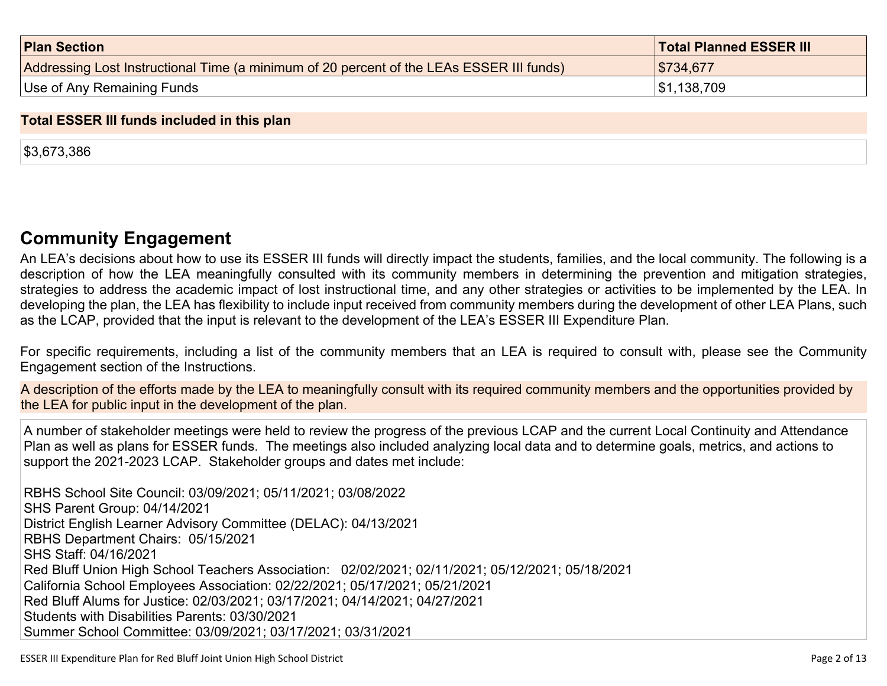| <b>Plan Section</b>                                                                      | <b>Total Planned ESSER III</b> |
|------------------------------------------------------------------------------------------|--------------------------------|
| Addressing Lost Instructional Time (a minimum of 20 percent of the LEAs ESSER III funds) | \$734,677                      |
| Use of Any Remaining Funds                                                               | \$1,138,709                    |

#### **Total ESSER III funds included in this plan**

\$3,673,386

## **Community [Engagement](#page-8-0)**

An LEA's decisions about how to use its ESSER III funds will directly impact the students, families, and the local community. The following is a description of how the LEA meaningfully consulted with its community members in determining the prevention and mitigation strategies, strategies to address the academic impact of lost instructional time, and any other strategies or activities to be implemented by the LEA. In developing the plan, the LEA has flexibility to include input received from community members during the development of other LEA Plans, such as the LCAP, provided that the input is relevant to the development of the LEA's ESSER III Expenditure Plan.

For specific requirements, including a list of the community members that an LEA is required to consult with, please see the Community Engagement section of the Instructions.

A description of the efforts made by the LEA to meaningfully consult with its required community members and the opportunities provided by the LEA for public input in the development of the plan.

A number of stakeholder meetings were held to review the progress of the previous LCAP and the current Local Continuity and Attendance Plan as well as plans for ESSER funds. The meetings also included analyzing local data and to determine goals, metrics, and actions to support the 2021-2023 LCAP. Stakeholder groups and dates met include:

RBHS School Site Council: 03/09/2021; 05/11/2021; 03/08/2022 SHS Parent Group: 04/14/2021 District English Learner Advisory Committee (DELAC): 04/13/2021 RBHS Department Chairs: 05/15/2021 SHS Staff: 04/16/2021 Red Bluff Union High School Teachers Association: 02/02/2021; 02/11/2021; 05/12/2021; 05/18/2021 California School Employees Association: 02/22/2021; 05/17/2021; 05/21/2021 Red Bluff Alums for Justice: 02/03/2021; 03/17/2021; 04/14/2021; 04/27/2021 Students with Disabilities Parents: 03/30/2021 Summer School Committee: 03/09/2021; 03/17/2021; 03/31/2021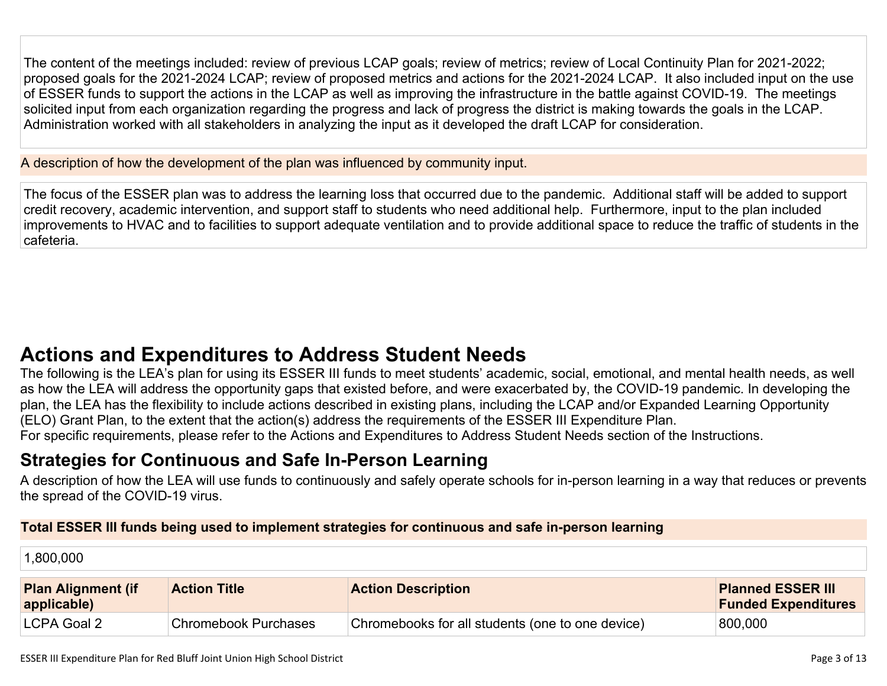The content of the meetings included: review of previous LCAP goals; review of metrics; review of Local Continuity Plan for 2021-2022; proposed goals for the 2021-2024 LCAP; review of proposed metrics and actions for the 2021-2024 LCAP. It also included input on the use of ESSER funds to support the actions in the LCAP as well as improving the infrastructure in the battle against COVID-19. The meetings solicited input from each organization regarding the progress and lack of progress the district is making towards the goals in the LCAP. Administration worked with all stakeholders in analyzing the input as it developed the draft LCAP for consideration.

A description of how the development of the plan was influenced by community input.

The focus of the ESSER plan was to address the learning loss that occurred due to the pandemic. Additional staff will be added to support credit recovery, academic intervention, and support staff to students who need additional help. Furthermore, input to the plan included improvements to HVAC and to facilities to support adequate ventilation and to provide additional space to reduce the traffic of students in the cafeteria.

# **Actions and [Expenditures](#page-10-0) to Address Student Needs**

The following is the LEA's plan for using its ESSER III funds to meet students' academic, social, emotional, and mental health needs, as well as how the LEA will address the opportunity gaps that existed before, and were exacerbated by, the COVID-19 pandemic. In developing the plan, the LEA has the flexibility to include actions described in existing plans, including the LCAP and/or Expanded Learning Opportunity (ELO) Grant Plan, to the extent that the action(s) address the requirements of the ESSER III Expenditure Plan. For specific requirements, please refer to the Actions and Expenditures to Address Student Needs section of the Instructions.

# **Strategies for [Continuous](#page-10-1) and Safe In-Person Learning**

A description of how the LEA will use funds to continuously and safely operate schools for in-person learning in a way that reduces or prevents the spread of the COVID-19 virus.

### **Total ESSER III funds being used to implement strategies for continuous and safe in-person learning**

| 1,800,000                                |                             |                                                  |                                                        |
|------------------------------------------|-----------------------------|--------------------------------------------------|--------------------------------------------------------|
| <b>Plan Alignment (if</b><br>applicable) | <b>Action Title</b>         | <b>Action Description</b>                        | <b>Planned ESSER III</b><br><b>Funded Expenditures</b> |
| LCPA Goal 2                              | <b>Chromebook Purchases</b> | Chromebooks for all students (one to one device) | 800,000                                                |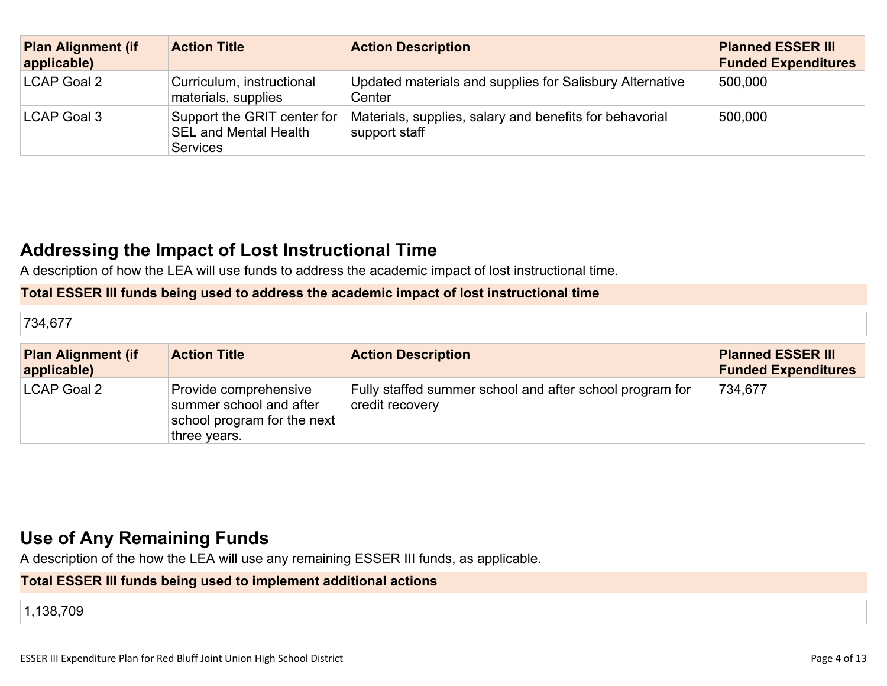| <b>Plan Alignment (if</b><br>applicable) | <b>Action Title</b>                                                            | <b>Action Description</b>                                                | <b>Planned ESSER III</b><br><b>Funded Expenditures</b> |
|------------------------------------------|--------------------------------------------------------------------------------|--------------------------------------------------------------------------|--------------------------------------------------------|
| LCAP Goal 2                              | Curriculum, instructional<br>materials, supplies                               | Updated materials and supplies for Salisbury Alternative<br>Center       | 500,000                                                |
| LCAP Goal 3                              | Support the GRIT center for<br><b>SEL and Mental Health</b><br><b>Services</b> | Materials, supplies, salary and benefits for behavorial<br>support staff | 500,000                                                |

# **Addressing the Impact of Lost [Instructional](#page-11-0) Tim[e](#page-11-0)**

A description of how the LEA will use funds to address the academic impact of lost instructional time.

#### **Total ESSER III funds being used to address the academic impact of lost instructional time**

| 734,677                                  |                                                                                                 |                                                                             |                                                        |
|------------------------------------------|-------------------------------------------------------------------------------------------------|-----------------------------------------------------------------------------|--------------------------------------------------------|
| <b>Plan Alignment (if</b><br>applicable) | <b>Action Title</b>                                                                             | <b>Action Description</b>                                                   | <b>Planned ESSER III</b><br><b>Funded Expenditures</b> |
| <b>LCAP Goal 2</b>                       | Provide comprehensive<br>summer school and after<br>school program for the next<br>three years. | Fully staffed summer school and after school program for<br>credit recovery | 734,677                                                |

# **Use of Any [Remaining](#page-11-1) Fund[s](#page-11-1)**

A description of the how the LEA will use any remaining ESSER III funds, as applicable.

## **Total ESSER III funds being used to implement additional actions**

1,138,709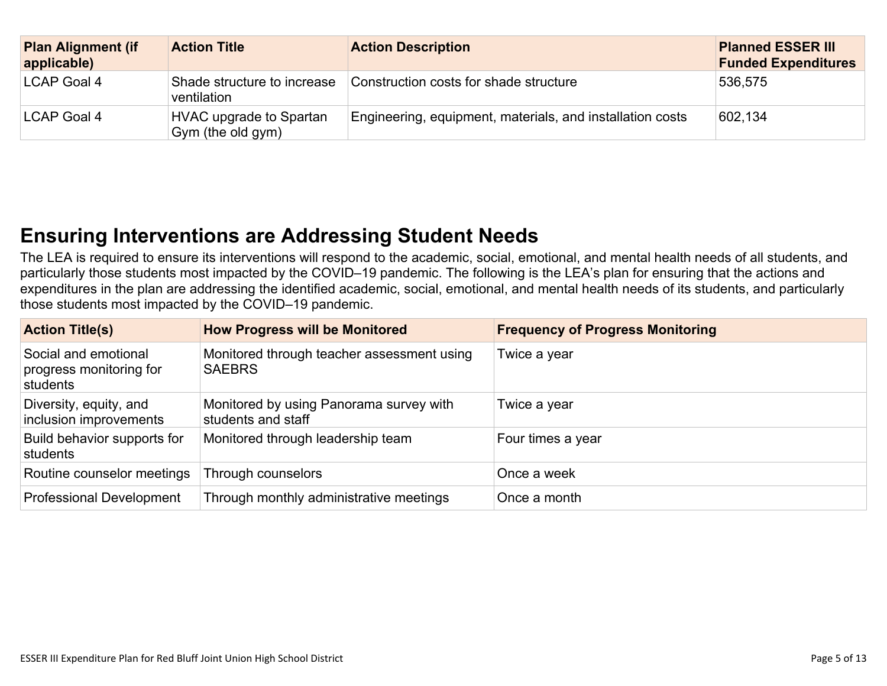| <b>Plan Alignment (if</b><br>applicable) | <b>Action Title</b>                                 | <b>Action Description</b>                                 | <b>Planned ESSER III</b><br><b>Funded Expenditures</b> |
|------------------------------------------|-----------------------------------------------------|-----------------------------------------------------------|--------------------------------------------------------|
| LCAP Goal 4                              | Shade structure to increase<br>ventilation          | Construction costs for shade structure                    | 536,575                                                |
| LCAP Goal 4                              | <b>HVAC upgrade to Spartan</b><br>Gym (the old gym) | Engineering, equipment, materials, and installation costs | 602,134                                                |

# **Ensuring [Interventions](#page-11-2) are Addressing Student Need[s](#page-11-2)**

The LEA is required to ensure its interventions will respond to the academic, social, emotional, and mental health needs of all students, and particularly those students most impacted by the COVID–19 pandemic. The following is the LEA's plan for ensuring that the actions and expenditures in the plan are addressing the identified academic, social, emotional, and mental health needs of its students, and particularly those students most impacted by the COVID–19 pandemic.

| <b>Action Title(s)</b>                                      | <b>How Progress will be Monitored</b>                         | <b>Frequency of Progress Monitoring</b> |
|-------------------------------------------------------------|---------------------------------------------------------------|-----------------------------------------|
| Social and emotional<br>progress monitoring for<br>students | Monitored through teacher assessment using<br><b>SAEBRS</b>   | Twice a year                            |
| Diversity, equity, and<br>inclusion improvements            | Monitored by using Panorama survey with<br>students and staff | Twice a year                            |
| Build behavior supports for<br>students                     | Monitored through leadership team                             | Four times a year                       |
| Routine counselor meetings                                  | Through counselors                                            | Once a week                             |
| <b>Professional Development</b>                             | Through monthly administrative meetings                       | Once a month                            |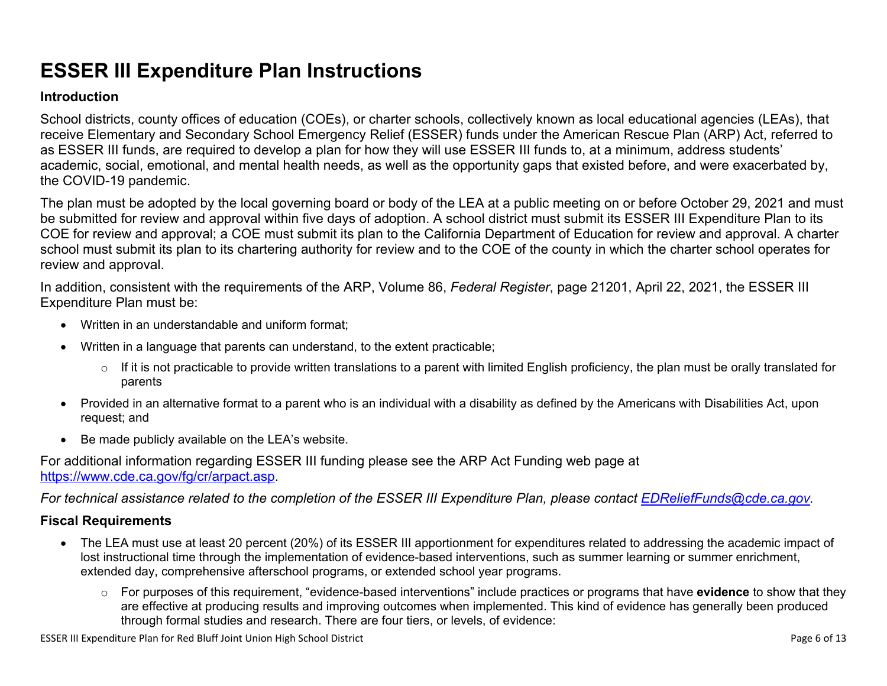# **ESSER III Expenditure Plan Instructions**

#### **Introduction**

School districts, county offices of education (COEs), or charter schools, collectively known as local educational agencies (LEAs), that receive Elementary and Secondary School Emergency Relief (ESSER) funds under the American Rescue Plan (ARP) Act, referred to as ESSER III funds, are required to develop a plan for how they will use ESSER III funds to, at a minimum, address students' academic, social, emotional, and mental health needs, as well as the opportunity gaps that existed before, and were exacerbated by, the COVID-19 pandemic.

The plan must be adopted by the local governing board or body of the LEA at a public meeting on or before October 29, 2021 and must be submitted for review and approval within five days of adoption. A school district must submit its ESSER III Expenditure Plan to its COE for review and approval; a COE must submit its plan to the California Department of Education for review and approval. A charter school must submit its plan to its chartering authority for review and to the COE of the county in which the charter school operates for review and approval.

In addition, consistent with the requirements of the ARP, Volume 86, *Federal Register*, page 21201, April 22, 2021, the ESSER III Expenditure Plan must be:

- Written in an understandable and uniform format;
- Written in a language that parents can understand, to the extent practicable;
	- $\circ$  If it is not practicable to provide written translations to a parent with limited English proficiency, the plan must be orally translated for parents
- Provided in an alternative format to a parent who is an individual with a disability as defined by the Americans with Disabilities Act, upon request; and
- Be made publicly available on the LEA's website.

For additional information regarding ESSER III funding please see the ARP Act Funding web page at <https://www.cde.ca.gov/fg/cr/arpact.asp>.

For technical assistance related to the completion of the ESSER III Expenditure Plan, please contact [EDReliefFunds@cde.ca.gov](mailto:EDReliefFunds@cde.ca.gov).

### **Fiscal Requirements**

- The LEA must use at least 20 percent (20%) of its ESSER III apportionment for expenditures related to addressing the academic impact of lost instructional time through the implementation of evidence-based interventions, such as summer learning or summer enrichment, extended day, comprehensive afterschool programs, or extended school year programs.
	- o For purposes of this requirement, "evidence-based interventions" include practices or programs that have **evidence** to show that they are effective at producing results and improving outcomes when implemented. This kind of evidence has generally been produced through formal studies and research. There are four tiers, or levels, of evidence:

ESSER III Expenditure Plan for Red Bluff Joint Union High School District **Page 6 of 13** Page 6 of 13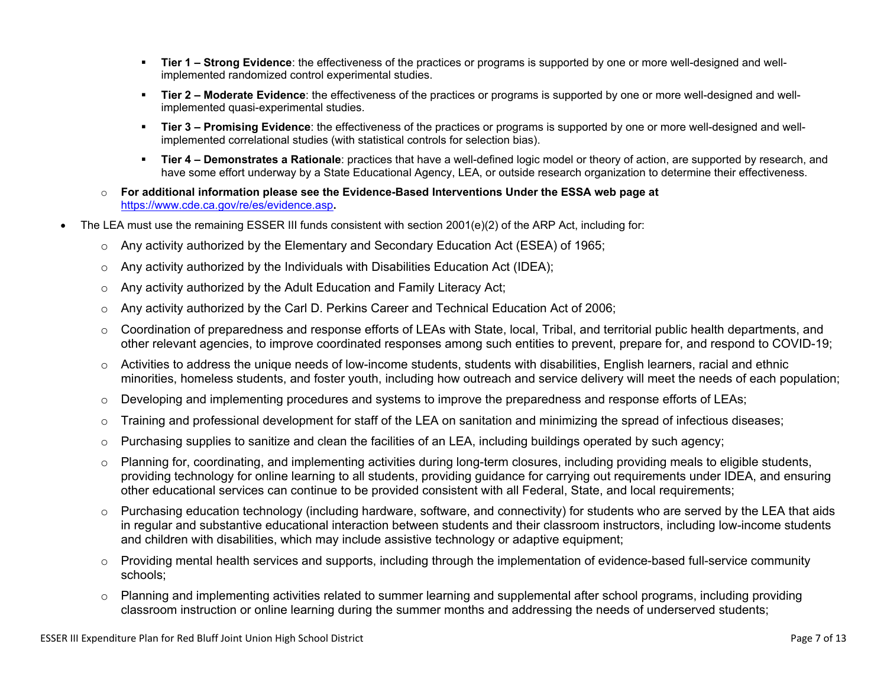- **Tier 1 – Strong Evidence**: the effectiveness of the practices or programs is supported by one or more well-designed and wellimplemented randomized control experimental studies.
- **Tier 2 – Moderate Evidence**: the effectiveness of the practices or programs is supported by one or more well-designed and wellimplemented quasi-experimental studies.
- **Tier 3 – Promising Evidence**: the effectiveness of the practices or programs is supported by one or more well-designed and wellimplemented correlational studies (with statistical controls for selection bias).
- **Tier 4 – Demonstrates a Rationale**: practices that have a well-defined logic model or theory of action, are supported by research, and have some effort underway by a State Educational Agency, LEA, or outside research organization to determine their effectiveness.
- o **For additional information please see the Evidence-Based Interventions Under the ESSA web page at** <https://www.cde.ca.gov/re/es/evidence.asp>**.**
- The LEA must use the remaining ESSER III funds consistent with section 2001(e)(2) of the ARP Act, including for:
	- $\circ$  Any activity authorized by the Elementary and Secondary Education Act (ESEA) of 1965;
	- $\circ$  Any activity authorized by the Individuals with Disabilities Education Act (IDEA);
	- o Any activity authorized by the Adult Education and Family Literacy Act;
	- $\circ$  Any activity authorized by the Carl D. Perkins Career and Technical Education Act of 2006;
	- $\circ$  Coordination of preparedness and response efforts of LEAs with State, local, Tribal, and territorial public health departments, and other relevant agencies, to improve coordinated responses among such entities to prevent, prepare for, and respond to COVID-19;
	- $\circ$  Activities to address the unique needs of low-income students, students with disabilities, English learners, racial and ethnic minorities, homeless students, and foster youth, including how outreach and service delivery will meet the needs of each population;
	- o Developing and implementing procedures and systems to improve the preparedness and response efforts of LEAs;
	- $\circ$  Training and professional development for staff of the LEA on sanitation and minimizing the spread of infectious diseases;
	- $\circ$  Purchasing supplies to sanitize and clean the facilities of an LEA, including buildings operated by such agency;
	- $\circ$  Planning for, coordinating, and implementing activities during long-term closures, including providing meals to eligible students, providing technology for online learning to all students, providing guidance for carrying out requirements under IDEA, and ensuring other educational services can continue to be provided consistent with all Federal, State, and local requirements;
	- $\circ$  Purchasing education technology (including hardware, software, and connectivity) for students who are served by the LEA that aids in regular and substantive educational interaction between students and their classroom instructors, including low-income students and children with disabilities, which may include assistive technology or adaptive equipment;
	- $\circ$  Providing mental health services and supports, including through the implementation of evidence-based full-service community schools;
	- o Planning and implementing activities related to summer learning and supplemental after school programs, including providing classroom instruction or online learning during the summer months and addressing the needs of underserved students;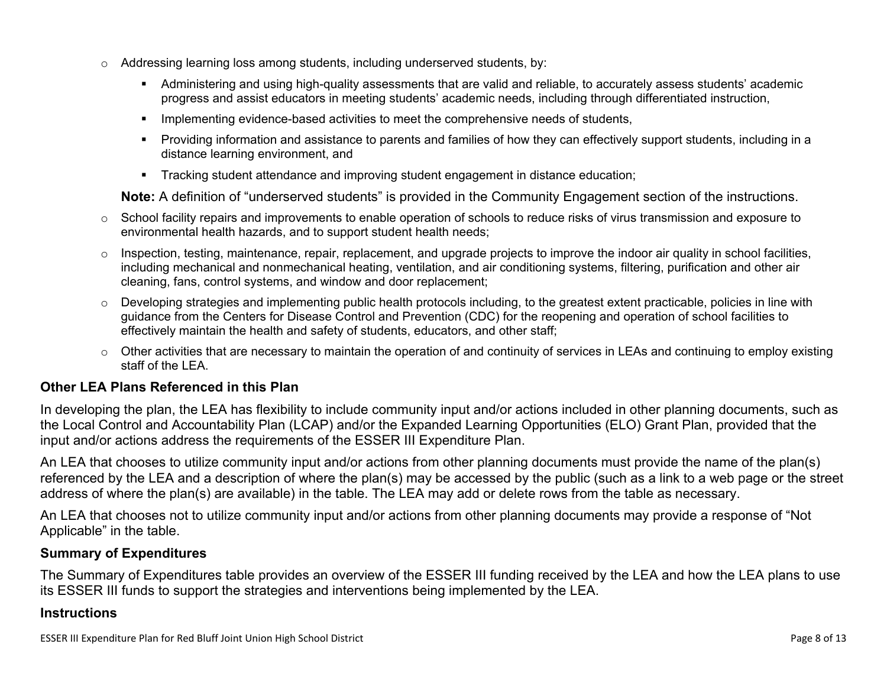- $\circ$  Addressing learning loss among students, including underserved students, by:
	- Administering and using high-quality assessments that are valid and reliable, to accurately assess students' academic progress and assist educators in meeting students' academic needs, including through differentiated instruction,
	- **IMPLEMENTER IMPLEMENT EVALUATE:** Implementing evidence-based activities to meet the comprehensive needs of students,
	- Providing information and assistance to parents and families of how they can effectively support students, including in a distance learning environment, and
	- Tracking student attendance and improving student engagement in distance education;

**Note:** A definition of "underserved students" is provided in the Community Engagement section of the instructions.

- $\circ$  School facility repairs and improvements to enable operation of schools to reduce risks of virus transmission and exposure to environmental health hazards, and to support student health needs;
- $\circ$  Inspection, testing, maintenance, repair, replacement, and upgrade projects to improve the indoor air quality in school facilities, including mechanical and nonmechanical heating, ventilation, and air conditioning systems, filtering, purification and other air cleaning, fans, control systems, and window and door replacement;
- $\circ$  Developing strategies and implementing public health protocols including, to the greatest extent practicable, policies in line with guidance from the Centers for Disease Control and Prevention (CDC) for the reopening and operation of school facilities to effectively maintain the health and safety of students, educators, and other staff;
- $\circ$  Other activities that are necessary to maintain the operation of and continuity of services in LEAs and continuing to employ existing staff of the LEA.

### <span id="page-7-0"></span>**Other LEA Plans Referenced in this Plan**

In developing the plan, the LEA has flexibility to include community input and/or actions included in other planning documents, such as the Local Control and Accountability Plan (LCAP) and/or the Expanded Learning Opportunities (ELO) Grant Plan, provided that the input and/or actions address the requirements of the ESSER III Expenditure Plan.

An LEA that chooses to utilize community input and/or actions from other planning documents must provide the name of the plan(s) referenced by the LEA and a description of where the plan(s) may be accessed by the public (such as a link to a web page or the street address of where the plan(s) are available) in the table. The LEA may add or delete rows from the table as necessary.

An LEA that chooses not to utilize community input and/or actions from other planning documents may provide a response of "Not Applicable" in the table.

#### <span id="page-7-1"></span>**Summary of Expenditures**

The Summary of Expenditures table provides an overview of the ESSER III funding received by the LEA and how the LEA plans to use its ESSER III funds to support the strategies and interventions being implemented by the LEA.

#### **Instructions**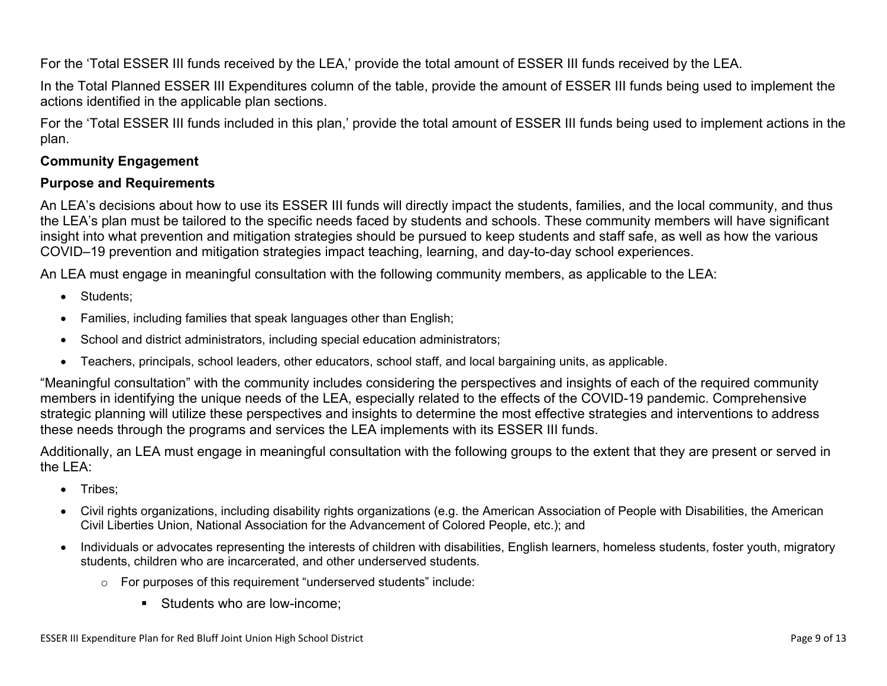For the 'Total ESSER III funds received by the LEA,' provide the total amount of ESSER III funds received by the LEA.

In the Total Planned ESSER III Expenditures column of the table, provide the amount of ESSER III funds being used to implement the actions identified in the applicable plan sections.

For the 'Total ESSER III funds included in this plan,' provide the total amount of ESSER III funds being used to implement actions in the plan.

### <span id="page-8-0"></span>**Community Engagement**

#### **Purpose and Requirements**

An LEA's decisions about how to use its ESSER III funds will directly impact the students, families, and the local community, and thus the LEA's plan must be tailored to the specific needs faced by students and schools. These community members will have significant insight into what prevention and mitigation strategies should be pursued to keep students and staff safe, as well as how the various COVID–19 prevention and mitigation strategies impact teaching, learning, and day-to-day school experiences.

An LEA must engage in meaningful consultation with the following community members, as applicable to the LEA:

- Students:
- Families, including families that speak languages other than English;
- School and district administrators, including special education administrators;
- Teachers, principals, school leaders, other educators, school staff, and local bargaining units, as applicable.

"Meaningful consultation" with the community includes considering the perspectives and insights of each of the required community members in identifying the unique needs of the LEA, especially related to the effects of the COVID-19 pandemic. Comprehensive strategic planning will utilize these perspectives and insights to determine the most effective strategies and interventions to address these needs through the programs and services the LEA implements with its ESSER III funds.

Additionally, an LEA must engage in meaningful consultation with the following groups to the extent that they are present or served in the LEA:

- Tribes;
- Civil rights organizations, including disability rights organizations (e.g. the American Association of People with Disabilities, the American Civil Liberties Union, National Association for the Advancement of Colored People, etc.); and
- Individuals or advocates representing the interests of children with disabilities, English learners, homeless students, foster youth, migratory students, children who are incarcerated, and other underserved students.
	- o For purposes of this requirement "underserved students" include:
		- Students who are low-income: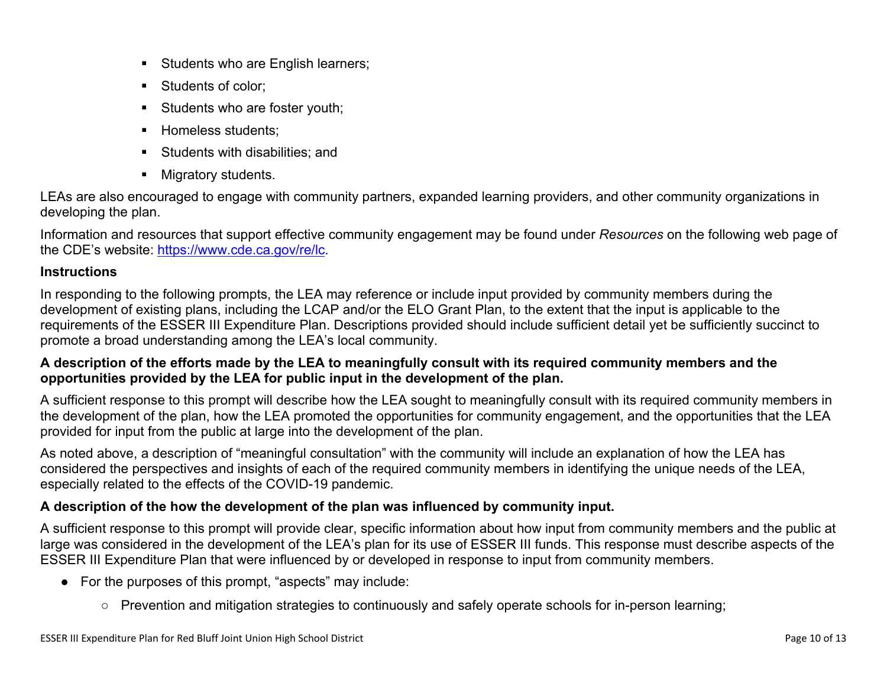- Students who are English learners;
- Students of color:
- Students who are foster youth;
- Homeless students;
- **Students with disabilities: and**
- **Migratory students.**

LEAs are also encouraged to engage with community partners, expanded learning providers, and other community organizations in developing the plan.

Information and resources that support effective community engagement may be found under *Resources* on the following web page of the CDE's website: <https://www.cde.ca.gov/re/lc>.

### **Instructions**

In responding to the following prompts, the LEA may reference or include input provided by community members during the development of existing plans, including the LCAP and/or the ELO Grant Plan, to the extent that the input is applicable to the requirements of the ESSER III Expenditure Plan. Descriptions provided should include sufficient detail yet be sufficiently succinct to promote a broad understanding among the LEA's local community.

### A description of the efforts made by the LEA to meaningfully consult with its required community members and the **opportunities provided by the LEA for public input in the development of the plan.**

A sufficient response to this prompt will describe how the LEA sought to meaningfully consult with its required community members in the development of the plan, how the LEA promoted the opportunities for community engagement, and the opportunities that the LEA provided for input from the public at large into the development of the plan.

As noted above, a description of "meaningful consultation" with the community will include an explanation of how the LEA has considered the perspectives and insights of each of the required community members in identifying the unique needs of the LEA, especially related to the effects of the COVID-19 pandemic.

## **A description of the how the development of the plan was influenced by community input.**

A sufficient response to this prompt will provide clear, specific information about how input from community members and the public at large was considered in the development of the LEA's plan for its use of ESSER III funds. This response must describe aspects of the ESSER III Expenditure Plan that were influenced by or developed in response to input from community members.

- For the purposes of this prompt, "aspects" may include:
	- Prevention and mitigation strategies to continuously and safely operate schools for in-person learning;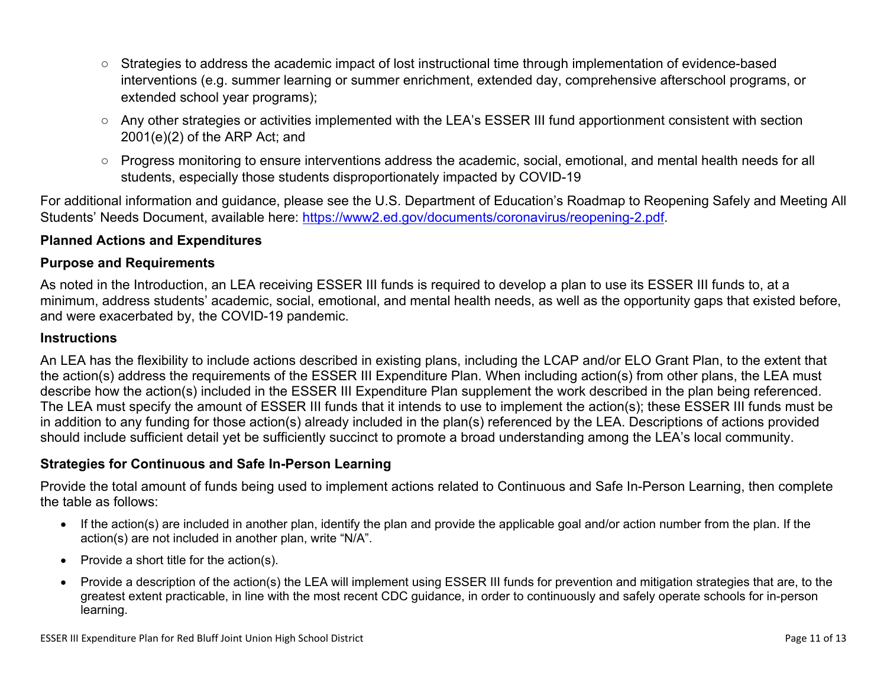- Strategies to address the academic impact of lost instructional time through implementation of evidence-based interventions (e.g. summer learning or summer enrichment, extended day, comprehensive afterschool programs, or extended school year programs);
- Any other strategies or activities implemented with the LEA's ESSER III fund apportionment consistent with section 2001(e)(2) of the ARP Act; and
- Progress monitoring to ensure interventions address the academic, social, emotional, and mental health needs for all students, especially those students disproportionately impacted by COVID-19

For additional information and guidance, please see the U.S. Department of Education's Roadmap to Reopening Safely and Meeting All Students' Needs Document, available here: [https://www2.ed.gov/documents/coronavirus/reopening-2.pdf.](https://www2.ed.gov/documents/coronavirus/reopening-2.pdf)

### <span id="page-10-0"></span>**Planned Actions and Expenditures**

#### **Purpose and Requirements**

As noted in the Introduction, an LEA receiving ESSER III funds is required to develop a plan to use its ESSER III funds to, at a minimum, address students' academic, social, emotional, and mental health needs, as well as the opportunity gaps that existed before, and were exacerbated by, the COVID-19 pandemic.

#### **Instructions**

An LEA has the flexibility to include actions described in existing plans, including the LCAP and/or ELO Grant Plan, to the extent that the action(s) address the requirements of the ESSER III Expenditure Plan. When including action(s) from other plans, the LEA must describe how the action(s) included in the ESSER III Expenditure Plan supplement the work described in the plan being referenced. The LEA must specify the amount of ESSER III funds that it intends to use to implement the action(s); these ESSER III funds must be in addition to any funding for those action(s) already included in the plan(s) referenced by the LEA. Descriptions of actions provided should include sufficient detail yet be sufficiently succinct to promote a broad understanding among the LEA's local community.

#### <span id="page-10-1"></span>**Strategies for Continuous and Safe In-Person Learning**

Provide the total amount of funds being used to implement actions related to Continuous and Safe In-Person Learning, then complete the table as follows:

- If the action(s) are included in another plan, identify the plan and provide the applicable goal and/or action number from the plan. If the action(s) are not included in another plan, write "N/A".
- Provide a short title for the  $action(s)$ .
- Provide a description of the action(s) the LEA will implement using ESSER III funds for prevention and mitigation strategies that are, to the greatest extent practicable, in line with the most recent CDC guidance, in order to continuously and safely operate schools for in-person learning.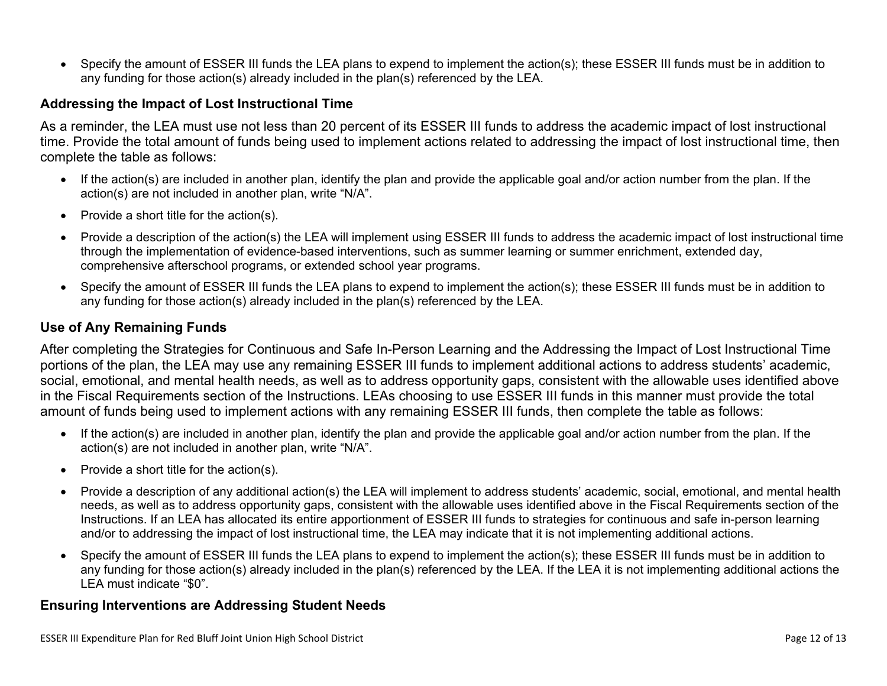Specify the amount of ESSER III funds the LEA plans to expend to implement the action(s); these ESSER III funds must be in addition to any funding for those action(s) already included in the plan(s) referenced by the LEA.

#### <span id="page-11-0"></span>**Addressing the Impact of Lost Instructional Time**

As a reminder, the LEA must use not less than 20 percent of its ESSER III funds to address the academic impact of lost instructional time. Provide the total amount of funds being used to implement actions related to addressing the impact of lost instructional time, then complete the table as follows:

- If the action(s) are included in another plan, identify the plan and provide the applicable goal and/or action number from the plan. If the action(s) are not included in another plan, write "N/A".
- Provide a short title for the  $action(s)$ .
- Provide a description of the action(s) the LEA will implement using ESSER III funds to address the academic impact of lost instructional time through the implementation of evidence-based interventions, such as summer learning or summer enrichment, extended day, comprehensive afterschool programs, or extended school year programs.
- Specify the amount of ESSER III funds the LEA plans to expend to implement the action(s); these ESSER III funds must be in addition to any funding for those action(s) already included in the plan(s) referenced by the LEA.

#### <span id="page-11-1"></span>**Use of Any Remaining Funds**

After completing the Strategies for Continuous and Safe In-Person Learning and the Addressing the Impact of Lost Instructional Time portions of the plan, the LEA may use any remaining ESSER III funds to implement additional actions to address students' academic, social, emotional, and mental health needs, as well as to address opportunity gaps, consistent with the allowable uses identified above in the Fiscal Requirements section of the Instructions. LEAs choosing to use ESSER III funds in this manner must provide the total amount of funds being used to implement actions with any remaining ESSER III funds, then complete the table as follows:

- If the action(s) are included in another plan, identify the plan and provide the applicable goal and/or action number from the plan. If the action(s) are not included in another plan, write "N/A".
- Provide a short title for the  $action(s)$ .
- Provide a description of any additional action(s) the LEA will implement to address students' academic, social, emotional, and mental health needs, as well as to address opportunity gaps, consistent with the allowable uses identified above in the Fiscal Requirements section of the Instructions. If an LEA has allocated its entire apportionment of ESSER III funds to strategies for continuous and safe in-person learning and/or to addressing the impact of lost instructional time, the LEA may indicate that it is not implementing additional actions.
- Specify the amount of ESSER III funds the LEA plans to expend to implement the action(s); these ESSER III funds must be in addition to any funding for those action(s) already included in the plan(s) referenced by the LEA. If the LEA it is not implementing additional actions the LEA must indicate "\$0".

#### <span id="page-11-2"></span>**Ensuring Interventions are Addressing Student Needs**